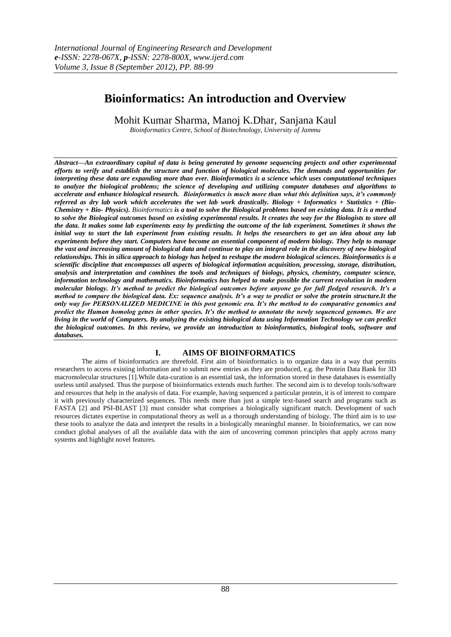# **Bioinformatics: An introduction and Overview**

Mohit Kumar Sharma, Manoj K.Dhar, Sanjana Kaul

*Bioinformatics Centre, School of Biotechnology, University of Jammu*

*Abstract––An extraordinary capital of data is being generated by genome sequencing projects and other experimental efforts to verify and establish the structure and function of biological molecules. The demands and opportunities for interpreting these data are expanding more than ever. Bioinformatics is a science which uses computational techniques to analyze the biological problems; the science of developing and utilizing computer databases and algorithms to accelerate and enhance biological research. Bioinformatics is much more than what this definition says, it's commonly referred as dry lab work which accelerates the wet lab work drastically. Biology + Informatics + Statistics + (Bio-Chemistry + Bio- Physics). Bioinformatics is a tool to solve the Biological problems based on existing data. It is a method to solve the Biological outcomes based on existing experimental results. It creates the way for the Biologists to store all the data. It makes some lab experiments easy by predicting the outcome of the lab experiment. Sometimes it shows the initial way to start the lab experiment from existing results. It helps the researchers to get an idea about any lab experiments before they start. Computers have become an essential component of modern biology. They help to manage the vast and increasing amount of biological data and continue to play an integral role in the discovery of new biological relationships. This in silica approach to biology has helped to reshape the modern biological sciences. Bioinformatics is a scientific discipline that encompasses all aspects of biological information acquisition, processing, storage, distribution, analysis and interpretation and combines the tools and techniques of biology, physics, chemistry, computer science, information technology and mathematics. Bioinformatics has helped to make possible the current revolution in modern molecular biology. It's method to predict the biological outcomes before anyone go for full fledged research. It's a method to compare the biological data. Ex: sequence analysis. It's a way to predict or solve the protein structure.It the only way for PERSONALIZED MEDICINE in this post genomic era. It's the method to do comparative genomics and predict the Human homolog genes in other species. It's the method to annotate the newly sequenced genomes. We are living in the world of Computers. By analyzing the existing biological data using Information Technology we can predict the biological outcomes. In this review, we provide an introduction to bioinformatics, biological tools, software and databases.*

## **I. AIMS OF BIOINFORMATICS**

The aims of bioinformatics are threefold. First aim of bioinformatics is to organize data in a way that permits researchers to access existing information and to submit new entries as they are produced, e.g. the Protein Data Bank for 3D macromolecular structures [1].While data-curation is an essential task, the information stored in these databases is essentially useless until analysed. Thus the purpose of bioinformatics extends much further. The second aim is to develop tools/software and resources that help in the analysis of data. For example, having sequenced a particular protein, it is of interest to compare it with previously characterized sequences. This needs more than just a simple text-based search and programs such as FASTA [2] and PSI-BLAST [3] must consider what comprises a biologically significant match. Development of such resources dictates expertise in computational theory as well as a thorough understanding of biology. The third aim is to use these tools to analyze the data and interpret the results in a biologically meaningful manner. In bioinformatics, we can now conduct global analyses of all the available data with the aim of uncovering common principles that apply across many systems and highlight novel features.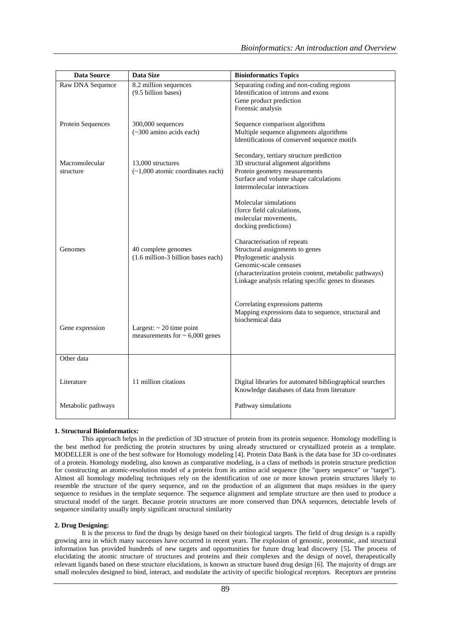| <b>Data Source</b>          | Data Size                                                            | <b>Bioinformatics Topics</b>                                                                                                                                                                                                        |
|-----------------------------|----------------------------------------------------------------------|-------------------------------------------------------------------------------------------------------------------------------------------------------------------------------------------------------------------------------------|
| Raw DNA Sequence            | 8.2 million sequences<br>(9.5 billion bases)                         | Separating coding and non-coding regions<br>Identification of introns and exons<br>Gene product prediction<br>Forensic analysis                                                                                                     |
| <b>Protein Sequences</b>    | $300,000$ sequences<br>(~300 amino acids each)                       | Sequence comparison algorithms<br>Multiple sequence alignments algorithms<br>Identifications of conserved sequence motifs                                                                                                           |
| Macromolecular<br>structure | 13,000 structures<br>$(-1,000$ atomic coordinates each)              | Secondary, tertiary structure prediction<br>3D structural alignment algorithms<br>Protein geometry measurements<br>Surface and volume shape calculations<br>Intermolecular interactions                                             |
|                             |                                                                      | Molecular simulations<br>(force field calculations,<br>molecular movements,<br>docking predictions)                                                                                                                                 |
| Genomes                     | 40 complete genomes<br>(1.6 million-3 billion bases each)            | Characterisation of repeats<br>Structural assignments to genes<br>Phylogenetic analysis<br>Genomic-scale censuses<br>(characterization protein content, metabolic pathways)<br>Linkage analysis relating specific genes to diseases |
| Gene expression             | Largest: $\sim$ 20 time point<br>measurements for $\sim 6,000$ genes | Correlating expressions patterns<br>Mapping expressions data to sequence, structural and<br>biochemical data                                                                                                                        |
| Other data                  |                                                                      |                                                                                                                                                                                                                                     |
| Literature                  | 11 million citations                                                 | Digital libraries for automated bibliographical searches<br>Knowledge databases of data from literature                                                                                                                             |
| Metabolic pathways          |                                                                      | Pathway simulations                                                                                                                                                                                                                 |

## **1. Structural Bioinformatics:**

This approach helps in the prediction of 3D structure of protein from its protein sequence. Homology modelling is the best method for predicting the protein structures by using already structured or crystallized protein as a template. MODELLER is one of the best software for Homology modeling [4]. Protein Data Bank is the data base for 3D co-ordinates of a protein. Homology modeling, also known as comparative modeling, is a class of methods in protein structure prediction for constructing an atomic-resolution model of a protein from its amino acid sequence (the "query sequence" or "target"). Almost all homology modeling techniques rely on the identification of one or more known protein structures likely to resemble the structure of the query sequence, and on the production of an alignment that maps residues in the query sequence to residues in the template sequence. The sequence alignment and template structure are then used to produce a structural model of the target. Because protein structures are more conserved than DNA sequences, detectable levels of sequence similarity usually imply significant structural similarity

#### **2. Drug Designing:**

It is the process to find the drugs by design based on their biological targets. The field of drug design is a rapidly growing area in which many successes have occurred in recent years. The explosion of genomic, proteomic, and structural information has provided hundreds of new targets and opportunities for future drug lead discovery [5]**.** The process of elucidating the atomic structure of structures and proteins and their complexes and the design of novel, therapeutically relevant ligands based on these structure elucidations, is known as structure based drug design [6]. The majority of drugs are small molecules designed to bind, interact, and modulate the activity of specific biological receptors. Receptors are proteins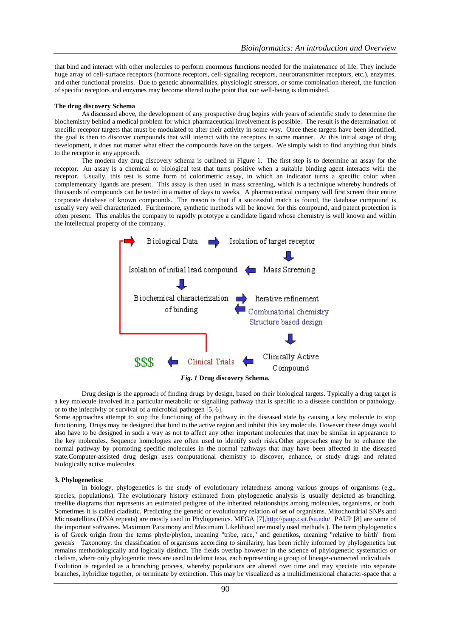that bind and interact with other molecules to perform enormous functions needed for the maintenance of life. They include huge array of cell-surface receptors (hormone receptors, cell-signaling receptors, neurotransmitter receptors, etc.), enzymes, and other functional proteins. Due to genetic abnormalities, physiologic stressors, or some combination thereof, the function of specific receptors and enzymes may become altered to the point that our well-being is diminished.

#### **The drug discovery Schema**

As discussed above, the development of any prospective drug begins with years of scientific study to determine the biochemistry behind a medical problem for which pharmaceutical involvement is possible. The result is the determination of specific receptor targets that must be modulated to alter their activity in some way. Once these targets have been identified, the goal is then to discover compounds that will interact with the receptors in some manner. At this initial stage of drug development, it does not matter what effect the compounds have on the targets. We simply wish to find anything that binds to the receptor in any approach.

The modern day drug discovery schema is outlined in Figure 1. The first step is to determine an assay for the receptor. An assay is a chemical or biological test that turns positive when a suitable binding agent interacts with the receptor. Usually, this test is some form of colorimetric assay, in which an indicator turns a specific color when complementary ligands are present. This assay is then used in mass screening, which is a technique whereby hundreds of thousands of compounds can be tested in a matter of days to weeks. A pharmaceutical company will first screen their entire corporate database of known compounds. The reason is that if a successful match is found, the database compound is usually very well characterized. Furthermore, synthetic methods will be known for this compound, and patent protection is often present. This enables the company to rapidly prototype a candidate ligand whose chemistry is well known and within the intellectual property of the company.



Drug design is the approach of finding drugs by design, based on their biological targets. Typically a drug target is a key molecule involved in a particular metabolic or signalling pathway that is specific to a disease condition or pathology, or to the infectivity or survival of a microbial pathogen [5, 6].

Some approaches attempt to stop the functioning of the pathway in the diseased state by causing a key molecule to stop functioning. Drugs may be designed that bind to the active region and inhibit this key molecule. However these drugs would also have to be designed in such a way as not to affect any other important molecules that may be similar in appearance to the key molecules. Sequence homologies are often used to identify such risks.Other approaches may be to enhance the normal pathway by promoting specific molecules in the normal pathways that may have been affected in the diseased state.Computer-assisted drug design uses computational chemistry to discover, enhance, or study drugs and related biologically active molecules.

#### **3. Phylogenetics:**

In biology, phylogenetics is the study of evolutionary relatedness among various groups of organisms (e.g., species, populations). The evolutionary history estimated from phylogenetic analysis is usually depicted as branching, treelike diagrams that represents an estimated pedigree of the inherited relationships among molecules, organisms, or both. Sometimes it is called cladistic. Predicting the genetic or evolutionary relation of set of organisms. Mitochondrial SNPs and Microsatellites (DNA repeats) are mostly used in Phylogenetics. MEGA [7[\],http://paup.csit.fsu.edu/](http://paup.csit.fsu.edu/) PAUP [8] are some of the important softwares. Maximum Parsimony and Maximum Likelihood are mostly used methods.). The term phylogenetics is of Greek origin from the terms phyle/phylon, meaning "tribe, race," and genetikos, meaning "relative to birth" from *genesis* Taxonomy, the classification of organisms according to similarity, has been richly informed by phylogenetics but remains methodologically and logically distinct. The fields overlap however in the science of phylogenetic systematics or cladism, where only phylogenetic trees are used to delimit taxa, each representing a group of lineage-connected individuals Evolution is regarded as a branching process, whereby populations are altered over time and may speciate into separate branches, hybridize together, or terminate by extinction. This may be visualized as a multidimensional character-space that a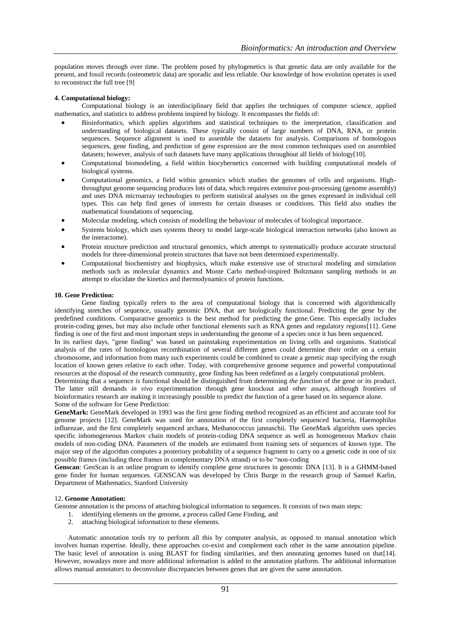population moves through over time. The problem posed by phylogenetics is that genetic data are only available for the present, and fossil records (osteometric data) are sporadic and less reliable. Our knowledge of how evolution operates is used to reconstruct the full tree [9]

## **4. Computational biology:**

Computational biology is an interdisciplinary field that applies the techniques of computer science, applied mathematics, and statistics to address problems inspired by biology. It encompasses the fields of:

- Bioinformatics, which applies algorithms and statistical techniques to the interpretation, classification and understanding of biological datasets. These typically consist of large numbers of DNA, RNA, or protein sequences. Sequence alignment is used to assemble the datasets for analysis. Comparisons of homologous sequences, gene finding, and prediction of gene expression are the most common techniques used on assembled datasets; however, analysis of such datasets have many applications throughout all fields of biology[10].
- Computational biomodeling, a field within biocybernetics concerned with building computational models of biological systems.
- Computational genomics, a field within genomics which studies the genomes of cells and organisms. Highthroughput genome sequencing produces lots of data, which requires extensive post-processing (genome assembly) and uses DNA microarray technologies to perform statistical analyses on the genes expressed in individual cell types. This can help find genes of interests for certain diseases or conditions. This field also studies the mathematical foundations of sequencing.
- Molecular modeling, which consists of modelling the behaviour of molecules of biological importance.
- Systems biology, which uses systems theory to model large-scale biological interaction networks (also known as the interactome).
- Protein structure prediction and structural genomics, which attempt to systematically produce accurate structural models for three-dimensional protein structures that have not been determined experimentally.
- Computational biochemistry and biophysics, which make extensive use of structural modeling and simulation methods such as molecular dynamics and Monte Carlo method-inspired Boltzmann sampling methods in an attempt to elucidate the kinetics and thermodynamics of protein functions.

#### **10. Gene Prediction:**

Gene finding typically refers to the area of computational biology that is concerned with algorithmically identifying stretches of sequence, usually genomic DNA, that are biologically functional. Predicting the gene by the predefined conditions. Comparative genomics is the best method for predicting the gene.Gene. This especially includes protein-coding genes, but may also include other functional elements such as RNA genes and regulatory regions[11]. Gene finding is one of the first and most important steps in understanding the genome of a species once it has been sequenced.

In its earliest days, "gene finding" was based on painstaking experimentation on living cells and organisms. Statistical analysis of the rates of homologous recombination of several different genes could determine their order on a certain chromosome, and information from many such experiments could be combined to create a genetic map specifying the rough location of known genes relative to each other. Today, with comprehensive genome sequence and powerful computational resources at the disposal of the research community, gene finding has been redefined as a largely computational problem.

Determining that a sequence *is* functional should be distinguished from determining *the function* of the gene or its product. The latter still demands *in vivo* experimentation through gene knockout and other assays, although frontiers of bioinformatics research are making it increasingly possible to predict the function of a gene based on its sequence alone. Some of the software for Gene Prediction:

**GeneMark:** GeneMark developed in 1993 was the first gene finding method recognized as an efficient and accurate tool for genome projects [12]. GeneMark was used for annotation of the first completely sequenced bacteria, Haemophilus influenzae, and the first completely sequenced archaea, Methanococcus jannaschii. The GeneMark algorithm uses species specific inhomogeneous Markov chain models of protein-coding DNA sequence as well as homogeneous Markov chain models of non-coding DNA. Parameters of the models are estimated from training sets of sequences of known type. The major step of the algorithm computes a posteriory probability of a sequence fragment to carry on a genetic code in one of six possible frames (including three frames in complementary DNA strand) or to be "non-coding

**Genscan**: GenScan is an online program to identify complete gene structures in genomic DNA [13]. It is a GHMM-based gene finder for human sequences. GENSCAN was developed by Chris Burge in the research group of Samuel Karlin, Department of Mathematics, Stanford University

#### 12. **Genome Annotation:**

Genome annotation is the process of attaching biological information to sequences. It consists of two main steps:

- 1. identifying elements on the genome, a process called Gene Finding, and
- 2. attaching biological information to these elements.

Automatic annotation tools try to perform all this by computer analysis, as opposed to manual annotation which involves human expertise. Ideally, these approaches co-exist and complement each other in the same annotation pipeline. The basic level of annotation is using BLAST for finding similarities, and then annotating genomes based on that[14]. However, nowadays more and more additional information is added to the annotation platform. The additional information allows manual annotators to deconvolute discrepancies between genes that are given the same annotation.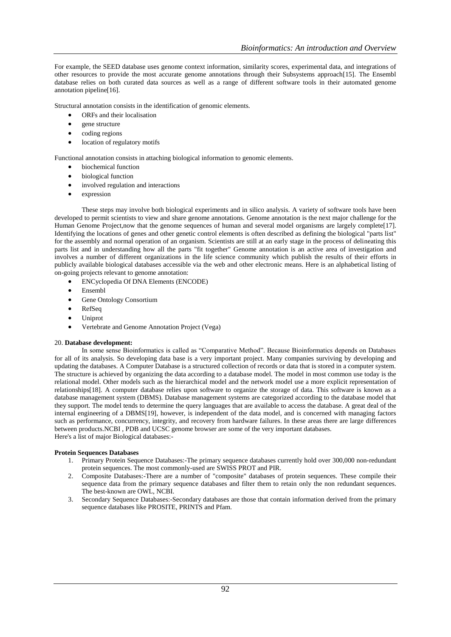For example, the SEED database uses genome context information, similarity scores, experimental data, and integrations of other resources to provide the most accurate genome annotations through their Subsystems approach[15]. The Ensembl database relies on both curated data sources as well as a range of different software tools in their automated genome annotation pipeline[16].

Structural annotation consists in the identification of genomic elements.

- ORFs and their localisation
- gene structure
- coding regions
- location of regulatory motifs

Functional annotation consists in attaching biological information to genomic elements.

- biochemical function
- biological function
- involved regulation and interactions
- expression

These steps may involve both biological experiments and in silico analysis. A variety of software tools have been developed to permit scientists to view and share genome annotations. Genome annotation is the next major challenge for the Human Genome Project,now that the genome sequences of human and several model organisms are largely complete[17]. Identifying the locations of genes and other genetic control elements is often described as defining the biological "parts list" for the assembly and normal operation of an organism. Scientists are still at an early stage in the process of delineating this parts list and in understanding how all the parts "fit together" Genome annotation is an active area of investigation and involves a number of different organizations in the life science community which publish the results of their efforts in publicly available biological databases accessible via the web and other electronic means. Here is an alphabetical listing of on-going projects relevant to genome annotation:

- ENCyclopedia Of DNA Elements (ENCODE)
- Ensembl
- Gene Ontology Consortium
- RefSeq
- Uniprot
- Vertebrate and Genome Annotation Project (Vega)

#### 20. **Database development:**

In some sense Bioinformatics is called as "Comparative Method". Because Bioinformatics depends on Databases for all of its analysis. So developing data base is a very important project. Many companies surviving by developing and updating the databases. A Computer Database is a structured collection of records or data that is stored in a computer system. The structure is achieved by organizing the data according to a database model. The model in most common use today is the relational model. Other models such as the hierarchical model and the network model use a more explicit representation of relationships[18]. A computer database relies upon software to organize the storage of data. This software is known as a database management system (DBMS). Database management systems are categorized according to the database model that they support. The model tends to determine the query languages that are available to access the database. A great deal of the internal engineering of a DBMS[19], however, is independent of the data model, and is concerned with managing factors such as performance, concurrency, integrity, and recovery from hardware failures. In these areas there are large differences between products.NCBI , PDB and UCSC genome browser are some of the very important databases. Here's a list of major Biological databases:-

#### **Protein Sequences Databases**

- 1. Primary Protein Sequence Databases:-The primary sequence databases currently hold over 300,000 non-redundant protein sequences. The most commonly-used are SWISS PROT and PIR.
- 2. Composite Databases:-There are a number of "composite" databases of protein sequences. These compile their sequence data from the primary sequence databases and filter them to retain only the non redundant sequences. The best-known are OWL, NCBI.
- 3. Secondary Sequence Databases:-Secondary databases are those that contain information derived from the primary sequence databases like PROSITE, PRINTS and Pfam.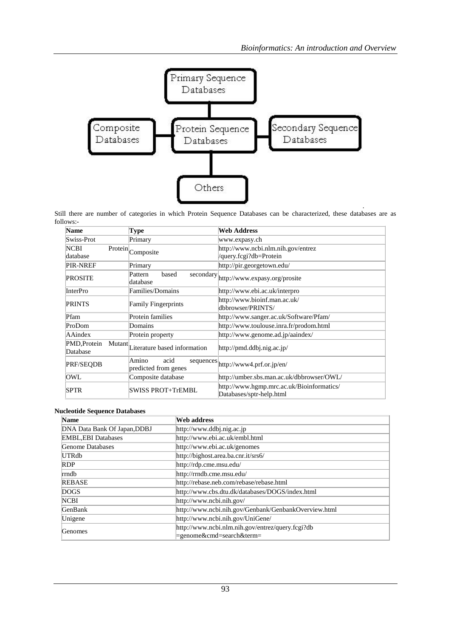

Still there are number of categories in which Protein Sequence Databases can be characterized, these databases are as follows:-

| <b>Name</b>              | Type                                               | <b>Web Address</b>                                                    |
|--------------------------|----------------------------------------------------|-----------------------------------------------------------------------|
| Swiss-Prot               | Primary                                            | www.expasy.ch                                                         |
| <b>NCBI</b><br>database  | $\overline{\text{Protein}}$ Composite              | http://www.ncbi.nlm.nih.gov/entrez<br>/query.fcgi?db=Protein          |
| <b>PIR-NREF</b>          | Primary                                            | http://pir.georgetown.edu/                                            |
| <b>PROSITE</b>           | based<br>Pattern<br>database                       | secondary http://www.expasy.org/prosite                               |
| <b>InterPro</b>          | Families/Domains                                   | http://www.ebi.ac.uk/interpro                                         |
| <b>PRINTS</b>            | <b>Family Fingerprints</b>                         | http://www.bioinf.man.ac.uk/<br>dbbrowser/PRINTS/                     |
| Pfam                     | Protein families                                   | http://www.sanger.ac.uk/Software/Pfam/                                |
| ProDom                   | Domains                                            | http://www.toulouse.inra.fr/prodom.html                               |
| AAindex                  | Protein property                                   | http://www.genome.ad.jp/aaindex/                                      |
| PMD, Protein<br>Database | Mutant<br>Literature based information             | http://pmd.ddbj.nig.ac.jp/                                            |
| PRF/SEQDB                | Amino<br>acid<br>sequences<br>predicted from genes | http://www4.prf.or.jp/en/                                             |
| <b>OWL</b>               | Composite database                                 | http://umber.sbs.man.ac.uk/dbbrowser/OWL/                             |
| <b>SPTR</b>              | <b>SWISS PROT+TrEMBL</b>                           | http://www.hgmp.mrc.ac.uk/Bioinformatics/<br>Databases/sptr-help.html |

### **Nucleotide Sequence Databases**

| <b>Name</b>                  | Web address                                                                  |
|------------------------------|------------------------------------------------------------------------------|
| DNA Data Bank Of Japan, DDBJ | http://www.ddbj.nig.ac.jp                                                    |
| <b>EMBL, EBI Databases</b>   | http://www.ebi.ac.uk/embl.html                                               |
| Genome Databases             | http://www.ebi.ac.uk/genomes                                                 |
| UTRdb                        | http://bighost.area.ba.cnr.it/srs6/                                          |
| <b>RDP</b>                   | http://rdp.cme.msu.edu/                                                      |
| rmdb                         | http://rrndb.cme.msu.edu/                                                    |
| <b>REBASE</b>                | http://rebase.neb.com/rebase/rebase.html                                     |
| <b>DOGS</b>                  | http://www.cbs.dtu.dk/databases/DOGS/index.html                              |
| <b>NCBI</b>                  | http://www.ncbi.nih.gov/                                                     |
| <b>GenBank</b>               | http://www.ncbi.nih.gov/Genbank/GenbankOverview.html                         |
| Unigene                      | http://www.ncbi.nih.gov/UniGene/                                             |
| <b>Genomes</b>               | http://www.ncbi.nlm.nih.gov/entrez/query.fcgi?db<br>=genome&cmd=search&term= |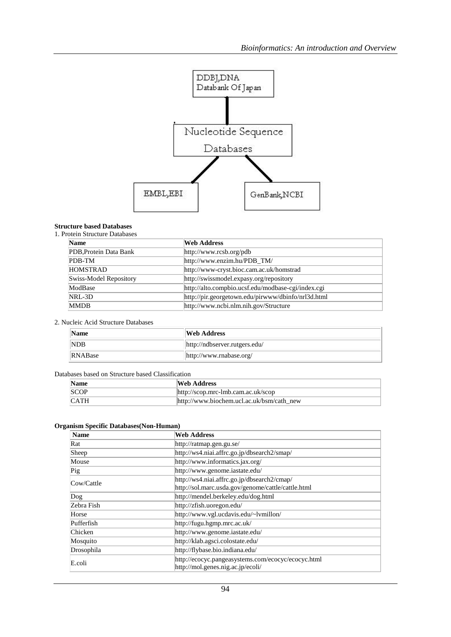

## **Structure based Databases**

## 1. Protein Structure Databases

| <b>Name</b>            | <b>Web Address</b>                                 |
|------------------------|----------------------------------------------------|
| PDB, Protein Data Bank | http://www.rcsb.org/pdb                            |
| PDB-TM                 | http://www.enzim.hu/PDB_TM/                        |
| <b>HOMSTRAD</b>        | http://www-cryst.bioc.cam.ac.uk/homstrad           |
| Swiss-Model Repository | http://swissmodel.expasy.org/repository            |
| ModBase                | http://alto.compbio.ucsf.edu/modbase-cgi/index.cgi |
| NRL-3D                 | http://pir.georgetown.edu/pirwww/dbinfo/nrl3d.html |
| <b>MMDB</b>            | http://www.ncbi.nlm.nih.gov/Structure              |

## 2. Nucleic Acid Structure Databases

| <b>Name</b>    | Web Address                   |
|----------------|-------------------------------|
| NDB            | http://ndbserver.rutgers.edu/ |
| <b>RNABase</b> | http://www.rnabase.org/       |

## Databases based on Structure based Classification

| Name | Web Address                                   |
|------|-----------------------------------------------|
| SCOP | $\frac{http://scop.mrc-lmb.cam.ac.uk/scop}{}$ |
| CATH | http://www.biochem.ucl.ac.uk/bsm/cath_new     |

## **Organism Specific Databases(Non-Human)**

| <b>Name</b>       | <b>Web Address</b>                                                                      |
|-------------------|-----------------------------------------------------------------------------------------|
| Rat               | http://ratmap.gen.gu.se/                                                                |
| Sheep             | http://ws4.niai.affrc.go.jp/dbsearch2/smap/                                             |
| Mouse             | http://www.informatics.jax.org/                                                         |
| $\mathbf{p}_{ig}$ | http://www.genome.iastate.edu/                                                          |
| Cow/Cattle        | http://ws4.niai.affrc.go.jp/dbsearch2/cmap/                                             |
|                   | http://sol.marc.usda.gov/genome/cattle/cattle.html                                      |
| $\log$            | http://mendel.berkeley.edu/dog.html                                                     |
| Zebra Fish        | http://zfish.uoregon.edu/                                                               |
| Horse             | http://www.vgl.ucdavis.edu/~lvmillon/                                                   |
| Pufferfish        | http://fugu.hgmp.mrc.ac.uk/                                                             |
| Chicken           | http://www.genome.iastate.edu/                                                          |
| Mosquito          | http://klab.agsci.colostate.edu/                                                        |
| Drosophila        | http://flybase.bio.indiana.edu/                                                         |
| E.coli            | http://ecocyc.pangeasystems.com/ecocyc/ecocyc.html<br>http://mol.genes.nig.ac.jp/ecoli/ |
|                   |                                                                                         |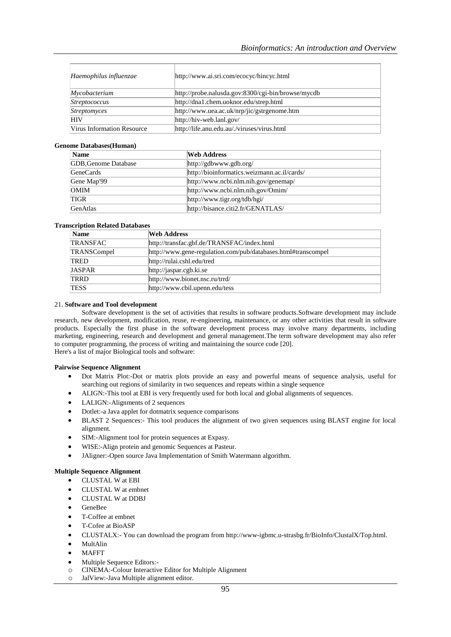| Haemophilus influenzae            | http://www.ai.sri.com/ecocyc/hincyc.html           |
|-----------------------------------|----------------------------------------------------|
| Mycobacterium                     | http://probe.nalusda.gov:8300/cgi-bin/browse/mycdb |
| <i>Streptococcus</i>              | http://dna1.chem.uoknor.edu/strep.html             |
| <i>Streptomyces</i>               | http://www.uea.ac.uk/nrp/jic/gstrgenome.htm        |
| <b>HIV</b>                        | $\frac{http://hiv-web.lanl.gov/}{$                 |
| <b>Virus Information Resource</b> | http://life.anu.edu.au/./viruses/virus.html        |

#### **Genome Databases(Human)**

| <b>Name</b>                 | <b>Web Address</b>                              |
|-----------------------------|-------------------------------------------------|
| <b>GDB, Genome Database</b> | http://gdbwww.gdb.org/                          |
| <b>GeneCards</b>            | http://bioinformatics.weizmann.ac.il/cards/     |
| Gene Map'99                 | $\frac{http://www.ncbi.nlm.nih.gov/genermap/}{$ |
| <b>OMIM</b>                 | http://www.ncbi.nlm.nih.gov/Omim/               |
| <b>TIGR</b>                 | http://www.tigr.org/tdb/hgi/                    |
| GenAtlas                    | http://bisance.citi2.fr/GENATLAS/               |

#### **Transcription Related Databases**

| <b>Name</b>   | <b>Web Address</b>                                            |
|---------------|---------------------------------------------------------------|
| TRANSFAC      | http://transfac.gbf.de/TRANSFAC/index.html                    |
| TRANSCompel   | http://www.gene-regulation.com/pub/databases.html#transcompel |
| <b>TRED</b>   | http://rulai.cshl.edu/tred                                    |
| <b>JASPAR</b> | http://jaspar.cgb.ki.se                                       |
| TRRD          | http://www.bionet.nsc.ru/trrd/                                |
| <b>TESS</b>   | http://www.cbil.upenn.edu/tess                                |

#### 21. **Software and Tool development**

Software development is the set of activities that results in software products.Software development may include research, new development, modification, reuse, re-engineering, maintenance, or any other activities that result in software products. Especially the first phase in the software development process may involve many departments, including marketing, engineering, research and development and general management.The term software development may also refer to computer programming, the process of writing and maintaining the source code [20]. Here's a list of major Biological tools and software:

#### **Pairwise Sequence Alignment**

- Dot Matrix Plot:-Dot or matrix plots provide an easy and powerful means of sequence analysis, useful for searching out regions of similarity in two sequences and repeats within a single sequence
- ALIGN:-This tool at EBI is very frequently used for both local and global alignments of sequences.
- LALIGN:-Alignments of 2 sequences
- Dotlet:-a Java applet for dotmatrix sequence comparisons
- BLAST 2 Sequences:- This tool produces the alignment of two given sequences using BLAST engine for local alignment.
- SIM:-Alignment tool for protein sequences at Expasy.
- WISE:-Align protein and genomic Sequences at Pasteur.
- JAligner:-Open source Java Implementation of Smith Watermann algorithm.

#### **Multiple Sequence Alignment**

- CLUSTAL W at EBI
- CLUSTAL W at embnet
- CLUSTAL W at DDBJ
- GeneBee
- T-Coffee at embnet
- T-Cofee at BioASP
- CLUSTALX:- You can download the program from http://www-igbmc.u-strasbg.fr/BioInfo/ClustalX/Top.html.
- MultAlin
- MAFFT
- Multiple Sequence Editors:-
- o CINEMA:-Colour Interactive Editor for Multiple Alignment
- o JalView:-Java Multiple alignment editor.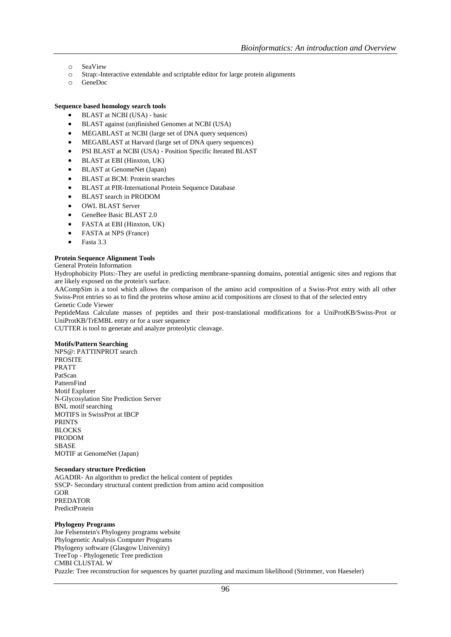- o SeaView
- o Strap:-Interactive extendable and scriptable editor for large protein alignments
- o GeneDoc

## **Sequence based homology search tools**

- BLAST at NCBI (USA) basic
- BLAST against (un)finished Genomes at NCBI (USA)
- MEGABLAST at NCBI (large set of DNA query sequences)
- MEGABLAST at Harvard (large set of DNA query sequences)
- PSI BLAST at NCBI (USA) Position Specific Iterated BLAST
- BLAST at EBI (Hinxton, UK)
- BLAST at GenomeNet (Japan)
- BLAST at BCM: Protein searches
- BLAST at PIR-International Protein Sequence Database
- BLAST search in PRODOM
- OWL BLAST Server
- GeneBee Basic BLAST 2.0
- FASTA at EBI (Hinxton, UK)
- FASTA at NPS (France)
- Fasta 3.3

#### **Protein Sequence Alignment Tools**

General Protein Information

Hydrophobicity Plots:-They are useful in predicting membrane-spanning domains, potential antigenic sites and regions that are likely exposed on the protein's surface.

AACompSim is a tool which allows the comparison of the amino acid composition of a Swiss-Prot entry with all other Swiss-Prot entries so as to find the proteins whose amino acid compositions are closest to that of the selected entry Genetic Code Viewer

PeptideMass Calculate masses of peptides and their post-translational modifications for a UniProtKB/Swiss-Prot or UniProtKB/TrEMBL entry or for a user sequence

CUTTER is tool to generate and analyze proteolytic cleavage.

#### **Motifs/Pattern Searching**

NPS@: PATTINPROT search PROSITE PRATT PatScan PatternFind Motif Explorer N-Glycosylation Site Prediction Server BNL motif searching MOTIFS in SwissProt at IBCP PRINTS BLOCKS PRODOM SBASE MOTIF at GenomeNet (Japan)

#### **Secondary structure Prediction**

AGADIR- An algorithm to predict the helical content of peptides SSCP- Secondary structural content prediction from amino acid composition GOR PREDATOR PredictProtein

#### **Phylogeny Programs**

Joe Felsenstein's Phylogeny programs website Phylogenetic Analysis Computer Programs Phylogeny software (Glasgow University) TreeTop - Phylogenetic Tree prediction CMBI CLUSTAL W Puzzle: Tree reconstruction for sequences by quartet puzzling and maximum likelihood (Strimmer, von Haeseler)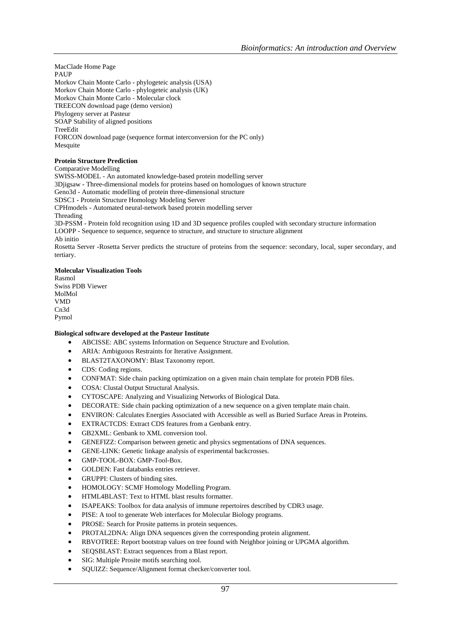MacClade Home Page PAUP Morkov Chain Monte Carlo - phylogeteic analysis (USA) Morkov Chain Monte Carlo - phylogeteic analysis (UK) Morkov Chain Monte Carlo - Molecular clock TREECON download page (demo version) Phylogeny server at Pasteur SOAP Stability of aligned positions **TreeEdit** FORCON download page (sequence format interconversion for the PC only) Mesquite

## **Protein Structure Prediction**

Comparative Modelling

SWISS-MODEL - An automated knowledge-based protein modelling server 3Djigsaw - Three-dimensional models for proteins based on homologues of known structure Geno3d - Automatic modelling of protein three-dimensional structure SDSC1 - Protein Structure Homology Modeling Server CPHmodels - Automated neural-network based protein modelling server Threading 3D-PSSM - Protein fold recognition using 1D and 3D sequence profiles coupled with secondary structure information LOOPP - Sequence to sequence, sequence to structure, and structure to structure alignment Ab initio Rosetta Server -Rosetta Server predicts the structure of proteins from the sequence: secondary, local, super secondary, and tertiary.

## **Molecular Visualization Tools**

Rasmol Swiss PDB Viewer MolMol VMD Cn3d Pymol

#### **Biological software developed at the Pasteur Institute**

- ABCISSE: ABC systems Information on Sequence Structure and Evolution.
- ARIA: Ambiguous Restraints for Iterative Assignment.
- BLAST2TAXONOMY: Blast Taxonomy report.
- CDS: Coding regions.
- CONFMAT: Side chain packing optimization on a given main chain template for protein PDB files.
- COSA: Clustal Output Structural Analysis.
- CYTOSCAPE: Analyzing and Visualizing Networks of Biological Data.
- DECORATE: Side chain packing optimization of a new sequence on a given template main chain.
- ENVIRON: Calculates Energies Associated with Accessible as well as Buried Surface Areas in Proteins.
- EXTRACTCDS: Extract CDS features from a Genbank entry.
- GB2XML: Genbank to XML conversion tool.
- GENEFIZZ: Comparison between genetic and physics segmentations of DNA sequences.
- GENE-LINK: Genetic linkage analysis of experimental backcrosses.
- GMP-TOOL-BOX: GMP-Tool-Box.
- GOLDEN: Fast databanks entries retriever.
- GRUPPI: Clusters of binding sites.
- HOMOLOGY: SCMF Homology Modelling Program.
- HTML4BLAST: Text to HTML blast results formatter.
- ISAPEAKS: Toolbox for data analysis of immune repertoires described by CDR3 usage.
- PISE: A tool to generate Web interfaces for Molecular Biology programs.
- PROSE: Search for Prosite patterns in protein sequences.
- PROTAL2DNA: Align DNA sequences given the corresponding protein alignment.
- RBVOTREE: Report bootstrap values on tree found with Neighbor joining or UPGMA algorithm.
- SEQSBLAST: Extract sequences from a Blast report.
- SIG: Multiple Prosite motifs searching tool.
- SQUIZZ: Sequence/Alignment format checker/converter tool.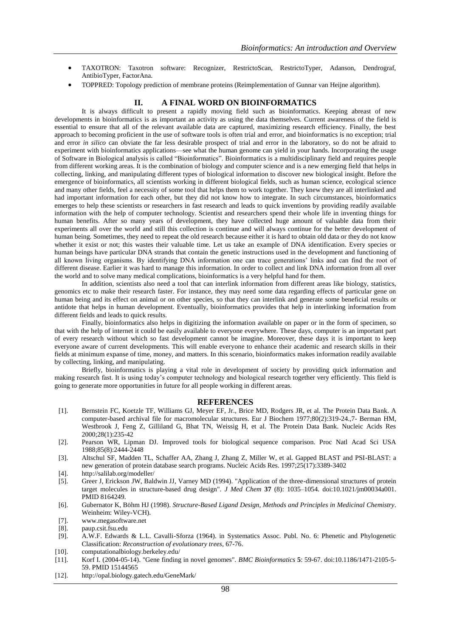- TAXOTRON: Taxotron software: Recognizer, RestrictoScan, RestrictoTyper, Adanson, Dendrograf, AntibioTyper, FactorAna.
- TOPPRED: Topology prediction of membrane proteins (Reimplementation of Gunnar van Heijne algorithm).

## **II. A FINAL WORD ON BIOINFORMATICS**

It is always difficult to present a rapidly moving field such as bioinformatics. Keeping abreast of new developments in bioinformatics is as important an activity as using the data themselves. Current awareness of the field is essential to ensure that all of the relevant available data are captured, maximizing research efficiency. Finally, the best approach to becoming proficient in the use of software tools is often trial and error, and bioinformatics is no exception; trial and error *in silico* can obviate the far less desirable prospect of trial and error in the laboratory, so do not be afraid to experiment with bioinformatics applications—see what the human genome can yield in your hands. Incorporating the usage of Software in Biological analysis is called "Bioinformatics". Bioinformatics is a multidisciplinary field and requires people from different working areas. It is the combination of biology and computer science and is a new emerging field that helps in collecting, linking, and manipulating different types of biological information to discover new biological insight. Before the emergence of bioinformatics, all scientists working in different biological fields, such as human science, ecological science and many other fields, feel a necessity of some tool that helps them to work together. They knew they are all interlinked and had important information for each other, but they did not know how to integrate. In such circumstances, bioinformatics emerges to help these scientists or researchers in fast research and leads to quick inventions by providing readily available information with the help of computer technology. Scientist and researchers spend their whole life in inventing things for human benefits. After so many years of development, they have collected huge amount of valuable data from their experiments all over the world and still this collection is continue and will always continue for the better development of human being. Sometimes, they need to repeat the old research because either it is hard to obtain old data or they do not know whether it exist or not; this wastes their valuable time. Let us take an example of DNA identification. Every species or human beings have particular DNA strands that contain the genetic instructions used in the development and functioning of all known living organisms. By identifying DNA information one can trace generations' links and can find the root of different disease. Earlier it was hard to manage this information. In order to collect and link DNA information from all over the world and to solve many medical complications, bioinformatics is a very helpful hand for them.

In addition, scientists also need a tool that can interlink information from different areas like biology, statistics, genomics etc to make their research faster. For instance, they may need some data regarding effects of particular gene on human being and its effect on animal or on other species, so that they can interlink and generate some beneficial results or antidote that helps in human development. Eventually, bioinformatics provides that help in interlinking information from different fields and leads to quick results.

Finally, bioinformatics also helps in digitizing the information available on paper or in the form of specimen, so that with the help of internet it could be easily available to everyone everywhere. These days, computer is an important part of every research without which so fast development cannot be imagine. Moreover, these days it is important to keep everyone aware of current developments. This will enable everyone to enhance their academic and research skills in their fields at minimum expanse of time, money, and matters. In this scenario, bioinformatics makes information readily available by collecting, linking, and manipulating.

Briefly, bioinformatics is playing a vital role in development of society by providing quick information and making research fast. It is using today's computer technology and biological research together very efficiently. This field is going to generate more opportunities in future for all people working in different areas.

#### **REFERENCES**

- [1]. Bernstein FC, Koetzle TF, Williams GJ, Meyer EF, Jr., Brice MD, Rodgers JR, et al. The Protein Data Bank. A computer-based archival file for macromolecular structures. Eur J Biochem 1977;80(2):319-24.,7- Berman HM, Westbrook J, Feng Z, Gilliland G, Bhat TN, Weissig H, et al. The Protein Data Bank. Nucleic Acids Res 2000;28(1):235-42
- [2]. Pearson WR, Lipman DJ. Improved tools for biological sequence comparison. Proc Natl Acad Sci USA 1988;85(8):2444-2448
- [3]. Altschul SF, Madden TL, Schaffer AA, Zhang J, Zhang Z, Miller W, et al. Gapped BLAST and PSI-BLAST: a new generation of protein database search programs. Nucleic Acids Res. 1997;25(17):3389-3402
- [4]. http://salilab.org/modeller/
- [5]. Greer J, Erickson JW, Baldwin JJ, Varney MD (1994). "Application of the three-dimensional structures of protein target molecules in structure-based drug design". *J Med Chem* **37** (8): 1035–1054. doi:10.1021/jm00034a001. PMID 8164249.
- [6]. Gubernator K, Böhm HJ (1998). *Structure-Based Ligand Design, Methods and Principles in Medicinal Chemistry*. Weinheim: Wiley-VCH).
- [7]. www.megasoftware.net
- [8]. paup.csit.fsu.edu
- [9]. A.W.F. Edwards & L.L. Cavalli-Sforza (1964). in Systematics Assoc. Publ. No. 6: Phenetic and Phylogenetic Classification: *Reconstruction of evolutionary trees*, 67-76.
- [10]. computationalbiology.berkeley.edu/
- [11]. Korf I. (2004-05-14). "Gene finding in novel genomes". *BMC Bioinformatics* **5**: 59-67. doi:10.1186/1471-2105-5- 59. PMID 15144565
- [12]. http://opal.biology.gatech.edu/GeneMark/